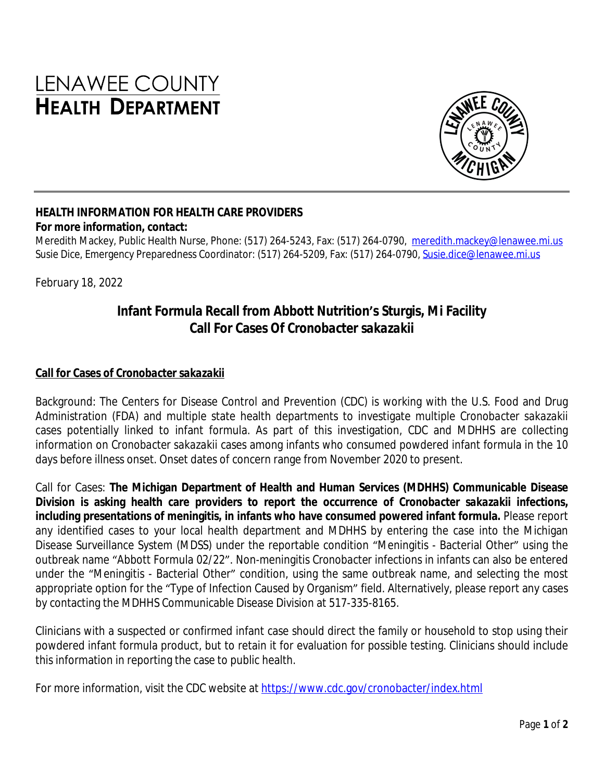# LENAWEE COUNTY **HEALTH DEPARTMENT**



#### **HEALTH INFORMATION FOR HEALTH CARE PROVIDERS For more information, contact:**

Meredith Mackey, Public Health Nurse, Phone: (517) 264-5243, Fax: (517) 264-0790, [meredith.mackey@lenawee.mi.us](mailto:meredith.mackey@lenawee.mi.us) Susie Dice, Emergency Preparedness Coordinator: (517) 264-5209, Fax: (517) 264-0790, [Susie.dice@lenawee.mi.us](mailto:Susie.dice@lenawee.mi.us)

February 18, 2022

## **Infant Formula Recall from Abbott Nutrition's Sturgis, Mi Facility Call For Cases Of** *Cronobacter sakazakii*

#### **Call for Cases of** *Cronobacter sakazakii*

Background: The Centers for Disease Control and Prevention (CDC) is working with the U.S. Food and Drug Administration (FDA) and multiple state health departments to investigate multiple *Cronobacter sakazakii* cases potentially linked to infant formula. As part of this investigation, CDC and MDHHS are collecting information on *Cronobacter sakazakii* cases among infants who consumed powdered infant formula in the 10 days before illness onset. Onset dates of concern range from November 2020 to present.

Call for Cases: **The Michigan Department of Health and Human Services (MDHHS) Communicable Disease Division is asking health care providers to report the occurrence of** *Cronobacter sakazakii* **infections, including presentations of meningitis, in infants who have consumed powered infant formula.** Please report any identified cases to your local health department and MDHHS by entering the case into the Michigan Disease Surveillance System (MDSS) under the reportable condition "Meningitis - Bacterial Other" using the outbreak name "Abbott Formula 02/22". Non-meningitis *Cronobacter* infections in infants can also be entered under the "Meningitis - Bacterial Other" condition, using the same outbreak name, and selecting the most appropriate option for the "Type of Infection Caused by Organism" field. Alternatively, please report any cases by contacting the MDHHS Communicable Disease Division at 517-335-8165.

Clinicians with a suspected or confirmed infant case should direct the family or household to stop using their powdered infant formula product, but to retain it for evaluation for possible testing. Clinicians should include this information in reporting the case to public health.

For more information, visit the CDC website at <https://www.cdc.gov/cronobacter/index.html>